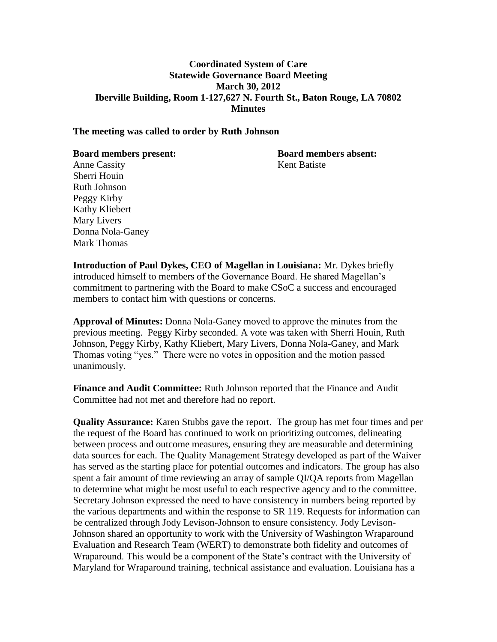### **Coordinated System of Care Statewide Governance Board Meeting March 30, 2012 Iberville Building, Room 1-127,627 N. Fourth St., Baton Rouge, LA 70802 Minutes**

#### **The meeting was called to order by Ruth Johnson**

**Board members present: Board members absent:**

Anne Cassity Kent Batiste Sherri Houin Ruth Johnson Peggy Kirby Kathy Kliebert Mary Livers Donna Nola-Ganey Mark Thomas

**Introduction of Paul Dykes, CEO of Magellan in Louisiana:** Mr. Dykes briefly introduced himself to members of the Governance Board. He shared Magellan's commitment to partnering with the Board to make CSoC a success and encouraged members to contact him with questions or concerns.

**Approval of Minutes:** Donna Nola-Ganey moved to approve the minutes from the previous meeting. Peggy Kirby seconded. A vote was taken with Sherri Houin, Ruth Johnson, Peggy Kirby, Kathy Kliebert, Mary Livers, Donna Nola-Ganey, and Mark Thomas voting "yes." There were no votes in opposition and the motion passed unanimously.

**Finance and Audit Committee:** Ruth Johnson reported that the Finance and Audit Committee had not met and therefore had no report.

**Quality Assurance:** Karen Stubbs gave the report. The group has met four times and per the request of the Board has continued to work on prioritizing outcomes, delineating between process and outcome measures, ensuring they are measurable and determining data sources for each. The Quality Management Strategy developed as part of the Waiver has served as the starting place for potential outcomes and indicators. The group has also spent a fair amount of time reviewing an array of sample QI/QA reports from Magellan to determine what might be most useful to each respective agency and to the committee. Secretary Johnson expressed the need to have consistency in numbers being reported by the various departments and within the response to SR 119. Requests for information can be centralized through Jody Levison-Johnson to ensure consistency. Jody Levison-Johnson shared an opportunity to work with the University of Washington Wraparound Evaluation and Research Team (WERT) to demonstrate both fidelity and outcomes of Wraparound. This would be a component of the State's contract with the University of Maryland for Wraparound training, technical assistance and evaluation. Louisiana has a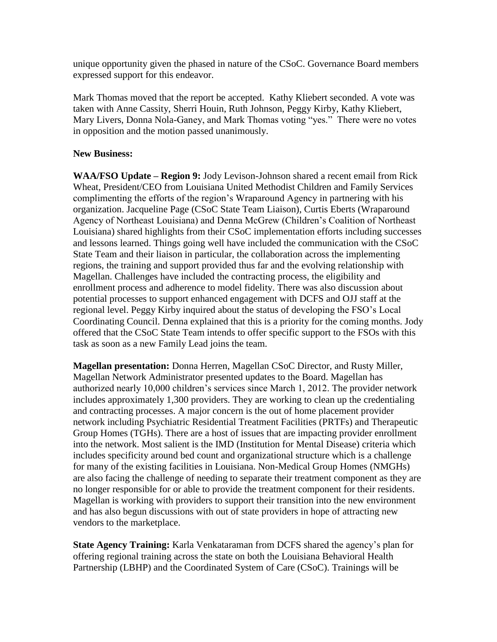unique opportunity given the phased in nature of the CSoC. Governance Board members expressed support for this endeavor.

Mark Thomas moved that the report be accepted. Kathy Kliebert seconded. A vote was taken with Anne Cassity, Sherri Houin, Ruth Johnson, Peggy Kirby, Kathy Kliebert, Mary Livers, Donna Nola-Ganey, and Mark Thomas voting "yes." There were no votes in opposition and the motion passed unanimously.

## **New Business:**

**WAA/FSO Update – Region 9:** Jody Levison-Johnson shared a recent email from Rick Wheat, President/CEO from Louisiana United Methodist Children and Family Services complimenting the efforts of the region's Wraparound Agency in partnering with his organization. Jacqueline Page (CSoC State Team Liaison), Curtis Eberts (Wraparound Agency of Northeast Louisiana) and Denna McGrew (Children's Coalition of Northeast Louisiana) shared highlights from their CSoC implementation efforts including successes and lessons learned. Things going well have included the communication with the CSoC State Team and their liaison in particular, the collaboration across the implementing regions, the training and support provided thus far and the evolving relationship with Magellan. Challenges have included the contracting process, the eligibility and enrollment process and adherence to model fidelity. There was also discussion about potential processes to support enhanced engagement with DCFS and OJJ staff at the regional level. Peggy Kirby inquired about the status of developing the FSO's Local Coordinating Council. Denna explained that this is a priority for the coming months. Jody offered that the CSoC State Team intends to offer specific support to the FSOs with this task as soon as a new Family Lead joins the team.

**Magellan presentation:** Donna Herren, Magellan CSoC Director, and Rusty Miller, Magellan Network Administrator presented updates to the Board. Magellan has authorized nearly 10,000 children's services since March 1, 2012. The provider network includes approximately 1,300 providers. They are working to clean up the credentialing and contracting processes. A major concern is the out of home placement provider network including Psychiatric Residential Treatment Facilities (PRTFs) and Therapeutic Group Homes (TGHs). There are a host of issues that are impacting provider enrollment into the network. Most salient is the IMD (Institution for Mental Disease) criteria which includes specificity around bed count and organizational structure which is a challenge for many of the existing facilities in Louisiana. Non-Medical Group Homes (NMGHs) are also facing the challenge of needing to separate their treatment component as they are no longer responsible for or able to provide the treatment component for their residents. Magellan is working with providers to support their transition into the new environment and has also begun discussions with out of state providers in hope of attracting new vendors to the marketplace.

**State Agency Training:** Karla Venkataraman from DCFS shared the agency's plan for offering regional training across the state on both the Louisiana Behavioral Health Partnership (LBHP) and the Coordinated System of Care (CSoC). Trainings will be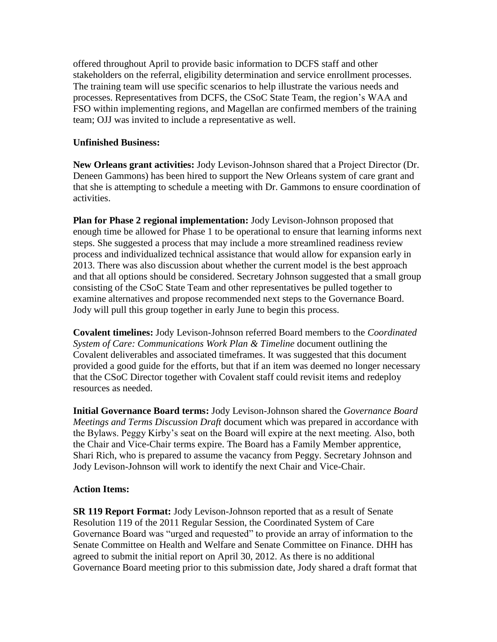offered throughout April to provide basic information to DCFS staff and other stakeholders on the referral, eligibility determination and service enrollment processes. The training team will use specific scenarios to help illustrate the various needs and processes. Representatives from DCFS, the CSoC State Team, the region's WAA and FSO within implementing regions, and Magellan are confirmed members of the training team; OJJ was invited to include a representative as well.

### **Unfinished Business:**

**New Orleans grant activities:** Jody Levison-Johnson shared that a Project Director (Dr. Deneen Gammons) has been hired to support the New Orleans system of care grant and that she is attempting to schedule a meeting with Dr. Gammons to ensure coordination of activities.

**Plan for Phase 2 regional implementation:** Jody Levison-Johnson proposed that enough time be allowed for Phase 1 to be operational to ensure that learning informs next steps. She suggested a process that may include a more streamlined readiness review process and individualized technical assistance that would allow for expansion early in 2013. There was also discussion about whether the current model is the best approach and that all options should be considered. Secretary Johnson suggested that a small group consisting of the CSoC State Team and other representatives be pulled together to examine alternatives and propose recommended next steps to the Governance Board. Jody will pull this group together in early June to begin this process.

**Covalent timelines:** Jody Levison-Johnson referred Board members to the *Coordinated System of Care: Communications Work Plan & Timeline* document outlining the Covalent deliverables and associated timeframes. It was suggested that this document provided a good guide for the efforts, but that if an item was deemed no longer necessary that the CSoC Director together with Covalent staff could revisit items and redeploy resources as needed.

**Initial Governance Board terms:** Jody Levison-Johnson shared the *Governance Board Meetings and Terms Discussion Draft* document which was prepared in accordance with the Bylaws. Peggy Kirby's seat on the Board will expire at the next meeting. Also, both the Chair and Vice-Chair terms expire. The Board has a Family Member apprentice, Shari Rich, who is prepared to assume the vacancy from Peggy. Secretary Johnson and Jody Levison-Johnson will work to identify the next Chair and Vice-Chair.

# **Action Items:**

**SR 119 Report Format:** Jody Levison-Johnson reported that as a result of Senate Resolution 119 of the 2011 Regular Session, the Coordinated System of Care Governance Board was "urged and requested" to provide an array of information to the Senate Committee on Health and Welfare and Senate Committee on Finance. DHH has agreed to submit the initial report on April 30, 2012. As there is no additional Governance Board meeting prior to this submission date, Jody shared a draft format that